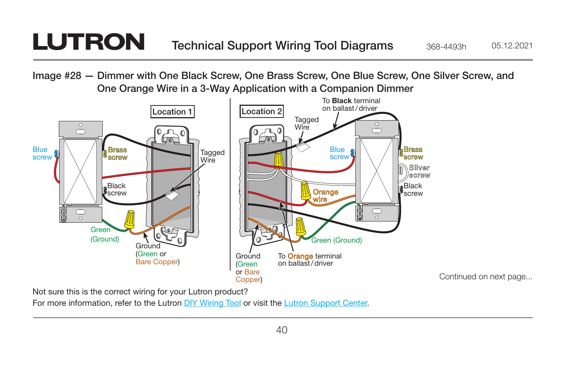## **LUTRON** Technical Support Wiring Tool Diagrams 368-4493h 05.12.2021

Image #28 — Dimmer with One Black Screw, One Brass Screw, One Blue Screw, One Silver Screw, and One Orange Wire in a 3-Way Application with a Companion Dimmer



Not sure this is the correct wiring for your Lutron product?

For more information, refer to the Lutron [DIY Wiring Tool](http://www.lutron.com/wiringtool) or visit the [Lutron Support Center.](http://www.lutron.com/en-US/pages/SupportCenter/support.aspx)